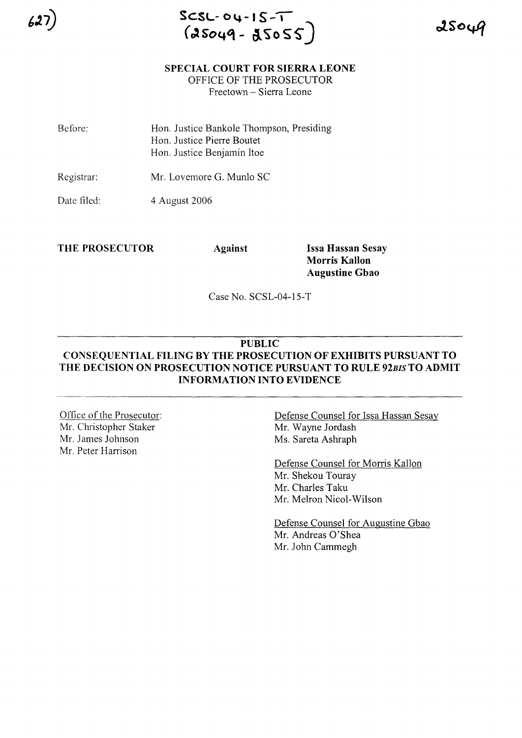**SCSL- 04-1 S-I** (o1So~G\ **- llSo** *S\$")*

## **SPECIAL COURT FOR SIERRA LEONE**

OFFICE OF THE PROSECUTOR

Freetown - Sierra Leone

Before: Hon. Justice Bankole Thompson, Presiding Hon. Justice Pierre Boutet Hon. Justice Benjamin Itoe

Registrar: Mr. Lovemore G. Munlo SC

Date filed: 4 August 2006

**THE PROSECUTOR Against Issa Hassan Sesay**

**Morris Kallon Augustine Gbao**

Case No. SCSL-04-15-T

# **PUBLIC**

# **CONSEQUENTIAL FILING BY THE PROSECUTION OF EXHIBITS PURSUANT TO THE DECISION ON PROSECUTION NOTICE PURSUANT TO RULE** *92BIS* **TO ADMIT INFORMATION INTO EVIDENCE**

Office of the Prosecutor: Mr. Christopher Staker Mr. James Johnson Mr. Peter Harrison

Defense Counsel for Issa Hassan Sesay Mr. Wayne Jordash Ms. Sareta Ashraph

Defense Counsel for Morris Kallon Mr. Shekou Touray Mr. Charles Taku Mr. Melron Nicol-Wilson

Defense Counsel for Augustine Gbao Mr. Andreas O'Shea Mr. John Cammegh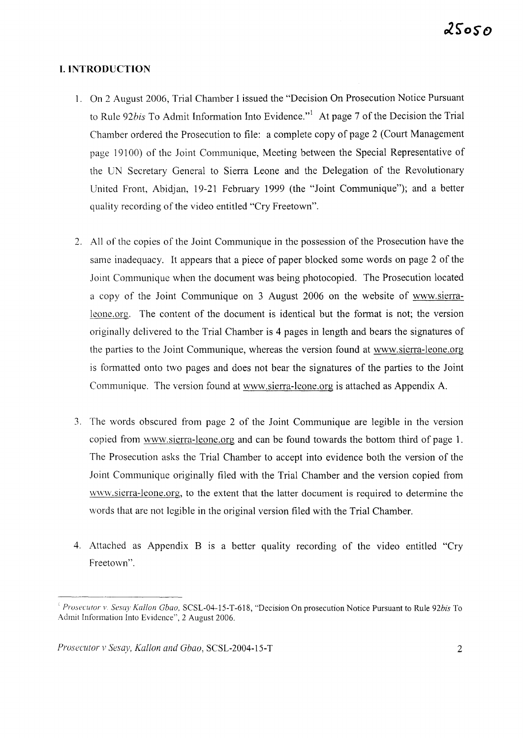# **I. INTRODUCTION**

- 1. On 2 August 2006, Trial Chamber I issued the "Decision On Prosecution Notice Pursuant to Rule 92*bis* To Admit Information Into Evidence."<sup>1</sup> At page 7 of the Decision the Trial Chamber ordered the Prosecution to file: a complete copy of page 2 (Court Management page 19100) of the Joint Communique, Meeting between the Special Representative of the UN Secretary General to Sierra Leone and the Delegation of the Revolutionary United Front, Abidjan, 19-21 February 1999 (the "Joint Communique"); and a better quality recording of the video entitled "Cry Freetown".
- 2. All of the copies of the Joint Communique in the possession of the Prosecution have the same inadequacy. It appears that a piece of paper blocked some words on page 2 of the Joint Communique when the document was being photocopied. The Prosecution located a copy of the Joint Communique on 3 August 2006 on the website of www.sierraleone.org. The content of the document is identical but the format is not; the version originally delivered to the Trial Chamber is 4 pages in length and bears the signatures of the parties to the Joint Communique, whereas the version found at www.sierra-Ieone.org is formatted onto two pages and does not bear the signatures of the parties to the Joint Communique. The version found at www.sierra-Ieone.org is attached as Appendix A.
- 3. The words obscured from page 2 of the Joint Communique are legible in the version copied from www.sierra-Ieone.org and can be found towards the bottom third of page 1. The Prosecution asks the Trial Chamber to accept into evidence both the version of the Joint Communique originally filed with the Trial Chamber and the version copied from www.sierra-leone.org, to the extent that the latter document is required to determine the words that are not legible in the original version filed with the Trial Chamber.
- 4. Attached as Appendix B IS a better quality recording of the video entitled "Cry Freetown".

<sup>I</sup> *Pmsecutor v. Sesay Kallon Cbao,* SCSL-04-15-T-618, "Decision On prosecution Notice Pursuant to Rule *92bis* To Admit Information Into Evidence", 2 August 2006.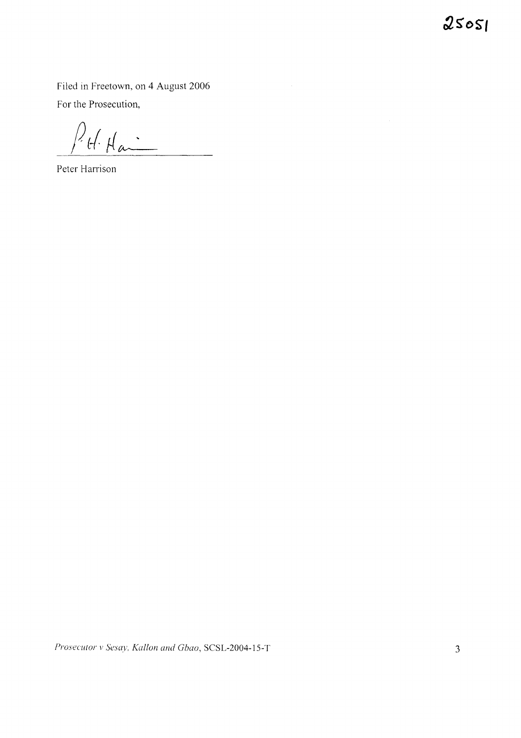$25051$ 

**Filed in Freetown, on 4 August 2006 For the Prosecution,**

 $\bar{\beta}$ 

 $P_{t}$ le Hai

**Peter Harrison**

*Prosecutor* <sup>v</sup> *Sesay. Kallon and Gbao,* **SCSL-2004-1S-T** 3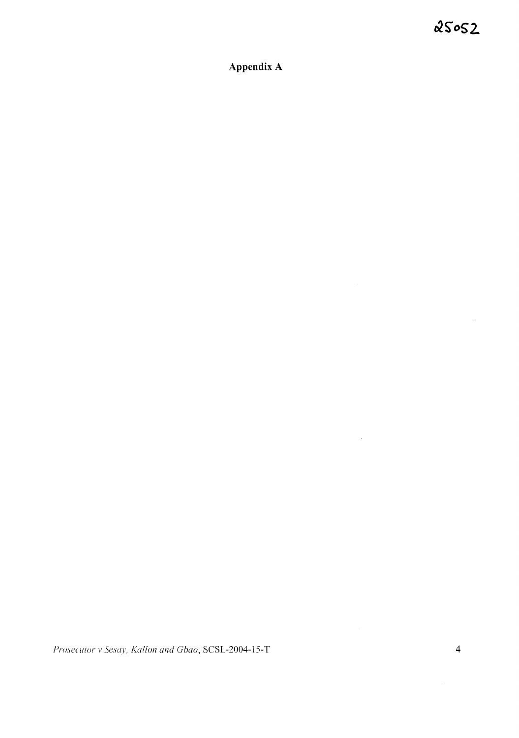Appendix A

Prosecutor v Sesay, Kallon and Gbao, SCSL-2004-15-T

 $\ddot{\phantom{0}}$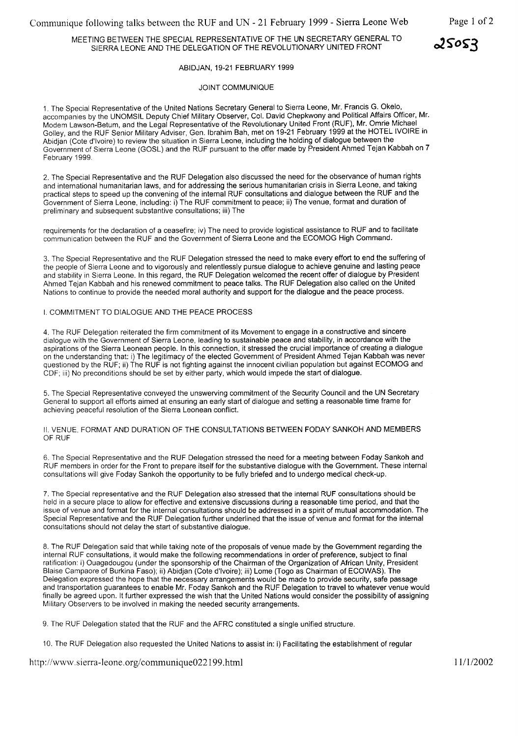### MEETING BETWEEN THE SPECIAL REPRESENTATIVE OF THE UN SECRETARY GENERAL TO SIERRA LEONE AND THE DELEGATION OF THE REVOLUTIONARY UNITED FRONT

#### ABIDJAN, 19-21 FEBRUARY 1999

### JOINT COMMUNIQUE

1. The Special Representative of the United Nations Secretary General to Sierra Leone, Mr. Francis G. Okelo, accompanies by the UNOMSIL Deputy Chief Military Observer, Col. David Chepkwony and Political Affairs Officer, Mr. Modem Lawson-Betum, and the Legal Representative of the Revolutionary United Front (RUF), Mr. Omrie Michael Golley, and the RUF Senior Military Adviser, Gen. Ibrahim Bah, met on 19-21 February 1999 at the HOTEL IVOIRE in Abidjan (Cote d'ivoire) to review the situation in Sierra Leone, including the holding of dialogue between the Government of Sierra Leone (GOSL) and the RUF pursuant to the offer made by President Ahmed Tejan Kabbah on 7 February 1999.

2. The Special Representative and the RUF Delegation also discussed the need for the observance of human rights and international humanitarian laws, and for addressing the serious humanitarian crisis in Sierra Leone, and taking practical steps to speed up the convening of the internal RUF consultations and dialogue between the RUF and the Government of Sierra Leone, including: i) The RUF commitment to peace; ii) The venue, format and duration of preliminary and subsequent substantive consultations; iii) The

requirements for the declaration of a ceasefire; iv) The need to provide logistical assistance to RUF and to facilitate communication between the RUF and the Government of Sierra Leone and the ECOMOG High Command.

3. The Special Representative and the RUF Delegation stressed the need to make every effort to end the suffering of the people of Sierra Leone and to vigorously and relentlessly pursue dialogue to achieve genuine and lasting peace and stability in Sierra Leone. In this regard, the RUF Delegation welcomed the recent offer of dialogue by President Ahmed Tejan Kabbah and his renewed commitment to peace talks. The RUF Delegation also called on the United Nations to continue to provide the needed moral authority and support for the dialogue and the peace process.

#### I. COMMITMENT TO DIALOGUE AND THE PEACE PROCESS

4. The RUF Delegation reiterated the firm commitment of its Movement to engage in a constructive and sincere dialogue with the Government of Sierra Leone, leading to sustainable peace and stability, in accordance with the aspirations of the Sierra Leonean people. In this connection, it stressed the crucial importance of creating a dialogue on the understanding that: i) The legitimacy of the elected Government of President Ahmed Tejan Kabbah was never questioned by the RUF; ii) The RUF is not fighting against the innocent civilian popUlation but against ECOMOG and CDF; iii) No preconditions should be set by either party, which would impede the start of dialogue.

5. The Special Representative conveyed the unswerving commitment of the Security Council and the UN Secretary General to support all efforts aimed at ensuring an early start of dialogue and setting a reasonable time frame for achieving peaceful resolution of the Sierra Leonean conflict.

II. VENUE, FORMAT AND DURATION OF THE CONSULTATIONS BETWEEN FODAY SANKOH AND MEMBERS OF RUF

6. The Special Representative and the RUF Delegation stressed the need for a meeting between Foday Sankoh and RUF members in order for the Front to prepare itself for the substantive dialogue with the Government. These internal consultations will give Foday Sankoh the opportunity to be fully briefed and to undergo medical check-up.

7. The Special representative and the RUF Delegation also stressed that the internal RUF consultations should be held in a secure place to allow for effective and extensive discussions during a reasonable time period, and that the issue of venue and format for the internal consultations should be addressed in a spirit of mutual accommodation. The Special Representative and the RUF Delegation further underlined that the issue of venue and format for the internal consultations should not delay the start of substantive dialogue.

8. The RUF Delegation said that while taking note of the proposals of venue made by the Government regarding the internal RUF consultations, it would make the following recommendations in order of preference, subject to final ratification: i) Ouagadougou (under the sponsorship of the Chairman of the Organization of African Unity, President Blaise Campaore of Burkina Faso); ii) Abidjan (Cote d'ivoire); iii) Lome (Togo as Chairman of ECOWAS). The Delegation expressed the hope that the necessary arrangements would be made to provide security, safe passage and transportation guarantees to enable Mr. Foday Sankoh and the RUF Delegation to travel to whatever venue would finally be agreed upon. It further expressed the wish that the United Nations would consider the possibility of assigning Military Observers to be involved in making the needed security arrangements.

9. The RUF Delegation stated that the RUF and the AFRC constituted a single unified structure.

10. The RUF Delegation also requested the United Nations to assist in: i) Facilitating the establishment of regular

http://www.sierra-leone.org/communique022199.html

 $25053$ 

11/1/2002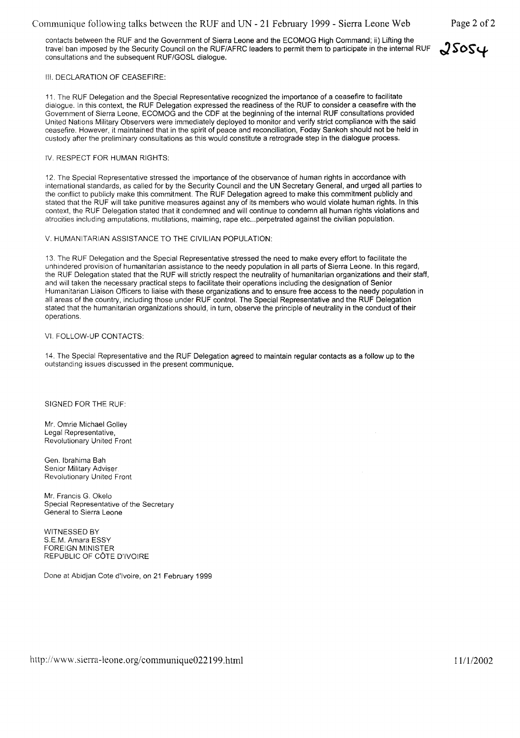## Communique following talks between the RUF and UN - 21 February 1999 - Sierra Leone Web Page 2 of 2

contacts between the RUF and the Government of Sierra Leone and the ECOMOG High Command; ii) Lifting the travel ban imposed by the Security Council on the RUF/AFRC leaders to permit them to participate in the internal RUF  $\sqrt{SSQ}$ consultations and the subsequent RUF/GOSL dialogue.

### III. DECLARATION OF CEASEFIRE:

11. The RUF Delegation and the Special Representative recognized the importance of a ceasefire to facilitate dialogue. In this context, the RUF Delegation expressed the readiness of the RUF to consider a ceasefire with the Government of Sierra Leone, ECOMOG and the CDF at the beginning of the internal RUF consultations provided United Nations Military Observers were immediately deployed to monitor and verify strict compliance with the said ceasefire. However, it maintained that in the spirit of peace and reconciliation, Foday Sankoh should not be held in custody after the preliminary consultations as this would constitute a retrograde step in the dialogue process.

#### IV. RESPECT FOR HUMAN RIGHTS:

12. The Special Representative stressed the importance of the observance of human rights in accordance with international standards, as called for by the Security Council and the UN Secretary General, and urged all parties to the conflict to publicly make this commitment. The RUF Delegation agreed to make this commitment publicly and stated that the RUF will take punitive measures against any of its members who would violate human rights. In this context, the RUF Delegation stated that it condemned and will continue to condemn all human rights violations and atrocities including amputations, mutilations, maiming, rape etc...perpetrated against the civilian population.

#### V. HUMANITARIAN ASSISTANCE TO THE CIVILIAN POPULATION:

13. The RUF Delegation and the Special Representative stressed the need to make every effort to facilitate the unhindered provision of humanitarian assistance to the needy population in all parts of Sierra Leone. In this regard, the RUF Delegation stated that the RUF will strictly respect the neutrality of humanitarian organizations and their staff, and will taken the necessary practical steps to facilitate their operations including the designation of Senior Humanitarian Liaison Officers to liaise with these organizations and to ensure free access to the needy population in all areas of the country, including those under RUF control. The Special Representative and the RUF Delegation stated that the humanitarian organizations should, in turn, observe the principle of neutrality in the conduct of their operations.

#### VI. FOLLOW-UP CONTACTS:

14. The Special Representative and the RUF Delegation agreed to maintain regular contacts as a follow up to the outstanding issues discussed in the present communique.

#### SIGNED FOR THE RUF:

Mr. Omrie Michael Golley Legal Representative, Revolutionary United Front

Gen. Ibrahima Bah Senior Military Adviser Revolutionary United Front

Mr. Francis G. Okelo Special Representative of the Secretary General to Sierra Leone

WITNESSED BY S.E.M. Amara ESSY FOREIGN MINISTER REPUBLIC OF COTE D'IVOIRE

Done at Abidjan Cote d'ivoire, on 21 February 1999